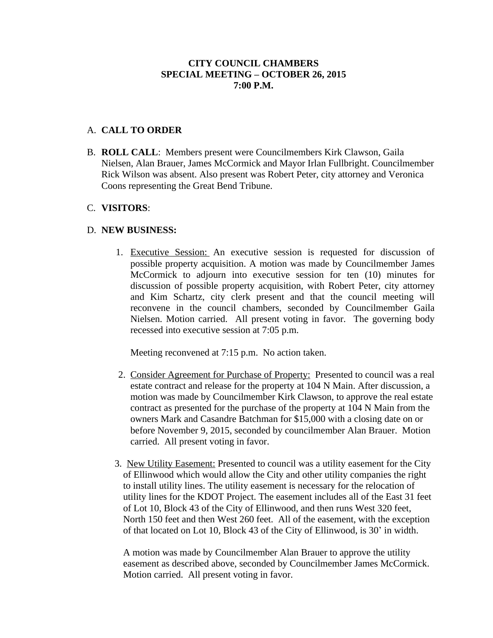## **CITY COUNCIL CHAMBERS SPECIAL MEETING – OCTOBER 26, 2015 7:00 P.M.**

### A. **CALL TO ORDER**

B. **ROLL CALL**: Members present were Councilmembers Kirk Clawson, Gaila Nielsen, Alan Brauer, James McCormick and Mayor Irlan Fullbright. Councilmember Rick Wilson was absent. Also present was Robert Peter, city attorney and Veronica Coons representing the Great Bend Tribune.

#### C. **VISITORS**:

## D. **NEW BUSINESS:**

1. Executive Session: An executive session is requested for discussion of possible property acquisition. A motion was made by Councilmember James McCormick to adjourn into executive session for ten (10) minutes for discussion of possible property acquisition, with Robert Peter, city attorney and Kim Schartz, city clerk present and that the council meeting will reconvene in the council chambers, seconded by Councilmember Gaila Nielsen. Motion carried. All present voting in favor. The governing body recessed into executive session at 7:05 p.m.

Meeting reconvened at 7:15 p.m. No action taken.

- 2. Consider Agreement for Purchase of Property: Presented to council was a real estate contract and release for the property at 104 N Main. After discussion, a motion was made by Councilmember Kirk Clawson, to approve the real estate contract as presented for the purchase of the property at 104 N Main from the owners Mark and Casandre Batchman for \$15,000 with a closing date on or before November 9, 2015, seconded by councilmember Alan Brauer. Motion carried. All present voting in favor.
- 3. New Utility Easement: Presented to council was a utility easement for the City of Ellinwood which would allow the City and other utility companies the right to install utility lines. The utility easement is necessary for the relocation of utility lines for the KDOT Project. The easement includes all of the East 31 feet of Lot 10, Block 43 of the City of Ellinwood, and then runs West 320 feet, North 150 feet and then West 260 feet. All of the easement, with the exception of that located on Lot 10, Block 43 of the City of Ellinwood, is 30' in width.

A motion was made by Councilmember Alan Brauer to approve the utility easement as described above, seconded by Councilmember James McCormick. Motion carried. All present voting in favor.